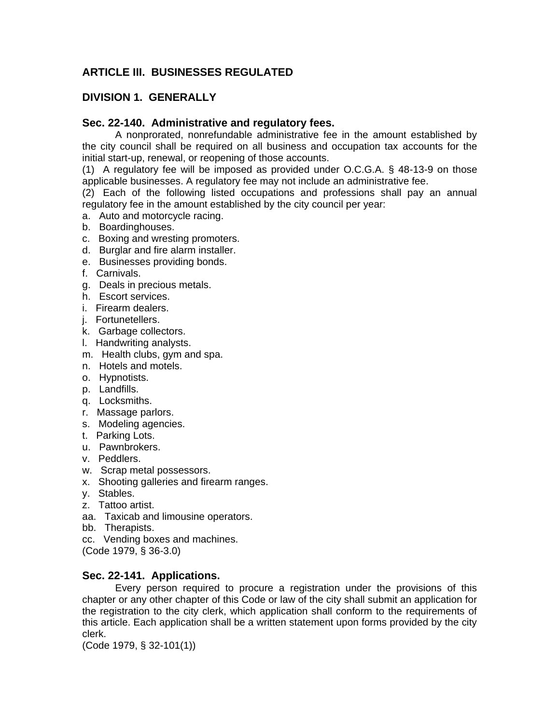# **ARTICLE III. BUSINESSES REGULATED**

# **DIVISION 1. GENERALLY**

## **Sec. 22-140. Administrative and regulatory fees.**

A nonprorated, nonrefundable administrative fee in the amount established by the city council shall be required on all business and occupation tax accounts for the initial start-up, renewal, or reopening of those accounts.

(1) A regulatory fee will be imposed as provided under O.C.G.A. § 48-13-9 on those applicable businesses. A regulatory fee may not include an administrative fee.

(2) Each of the following listed occupations and professions shall pay an annual regulatory fee in the amount established by the city council per year:

- a. Auto and motorcycle racing.
- b. Boardinghouses.
- c. Boxing and wresting promoters.
- d. Burglar and fire alarm installer.
- e. Businesses providing bonds.
- f. Carnivals.
- g. Deals in precious metals.
- h. Escort services.
- i. Firearm dealers.
- j. Fortunetellers.
- k. Garbage collectors.
- l. Handwriting analysts.
- m. Health clubs, gym and spa.
- n. Hotels and motels.
- o. Hypnotists.
- p. Landfills.
- q. Locksmiths.
- r. Massage parlors.
- s. Modeling agencies.
- t. Parking Lots.
- u. Pawnbrokers.
- v. Peddlers.
- w. Scrap metal possessors.
- x. Shooting galleries and firearm ranges.
- y. Stables.
- z. Tattoo artist.
- aa. Taxicab and limousine operators.
- bb. Therapists.
- cc. Vending boxes and machines.
- (Code 1979, § 36-3.0)

## **Sec. 22-141. Applications.**

Every person required to procure a registration under the provisions of this chapter or any other chapter of this Code or law of the city shall submit an application for the registration to the city clerk, which application shall conform to the requirements of this article. Each application shall be a written statement upon forms provided by the city clerk.

(Code 1979, § 32-101(1))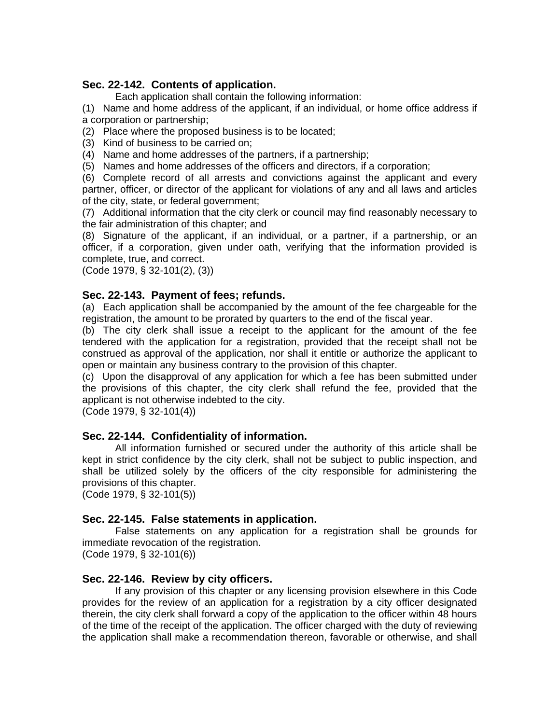## **Sec. 22-142. Contents of application.**

Each application shall contain the following information:

(1) Name and home address of the applicant, if an individual, or home office address if a corporation or partnership;

(2) Place where the proposed business is to be located;

(3) Kind of business to be carried on;

(4) Name and home addresses of the partners, if a partnership;

(5) Names and home addresses of the officers and directors, if a corporation;

(6) Complete record of all arrests and convictions against the applicant and every partner, officer, or director of the applicant for violations of any and all laws and articles of the city, state, or federal government;

(7) Additional information that the city clerk or council may find reasonably necessary to the fair administration of this chapter; and

(8) Signature of the applicant, if an individual, or a partner, if a partnership, or an officer, if a corporation, given under oath, verifying that the information provided is complete, true, and correct.

(Code 1979, § 32-101(2), (3))

#### **Sec. 22-143. Payment of fees; refunds.**

(a) Each application shall be accompanied by the amount of the fee chargeable for the registration, the amount to be prorated by quarters to the end of the fiscal year.

(b) The city clerk shall issue a receipt to the applicant for the amount of the fee tendered with the application for a registration, provided that the receipt shall not be construed as approval of the application, nor shall it entitle or authorize the applicant to open or maintain any business contrary to the provision of this chapter.

(c) Upon the disapproval of any application for which a fee has been submitted under the provisions of this chapter, the city clerk shall refund the fee, provided that the applicant is not otherwise indebted to the city.

(Code 1979, § 32-101(4))

## **Sec. 22-144. Confidentiality of information.**

All information furnished or secured under the authority of this article shall be kept in strict confidence by the city clerk, shall not be subject to public inspection, and shall be utilized solely by the officers of the city responsible for administering the provisions of this chapter.

(Code 1979, § 32-101(5))

## **Sec. 22-145. False statements in application.**

False statements on any application for a registration shall be grounds for immediate revocation of the registration.

(Code 1979, § 32-101(6))

## **Sec. 22-146. Review by city officers.**

If any provision of this chapter or any licensing provision elsewhere in this Code provides for the review of an application for a registration by a city officer designated therein, the city clerk shall forward a copy of the application to the officer within 48 hours of the time of the receipt of the application. The officer charged with the duty of reviewing the application shall make a recommendation thereon, favorable or otherwise, and shall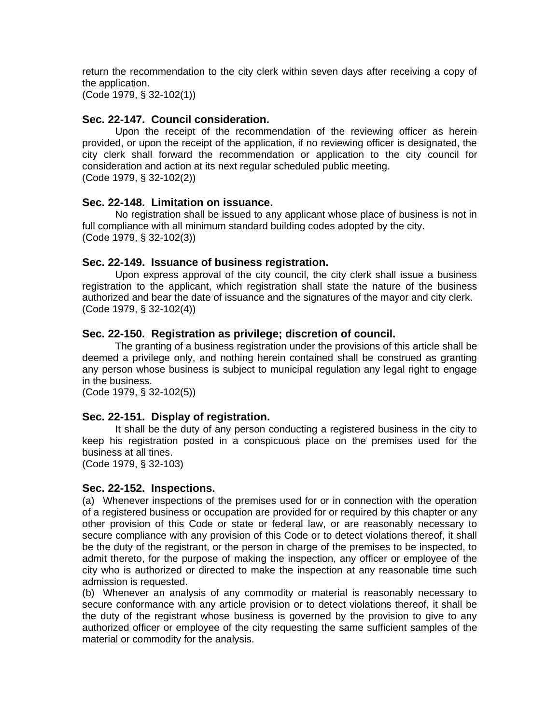return the recommendation to the city clerk within seven days after receiving a copy of the application.

(Code 1979, § 32-102(1))

#### **Sec. 22-147. Council consideration.**

Upon the receipt of the recommendation of the reviewing officer as herein provided, or upon the receipt of the application, if no reviewing officer is designated, the city clerk shall forward the recommendation or application to the city council for consideration and action at its next regular scheduled public meeting. (Code 1979, § 32-102(2))

#### **Sec. 22-148. Limitation on issuance.**

No registration shall be issued to any applicant whose place of business is not in full compliance with all minimum standard building codes adopted by the city. (Code 1979, § 32-102(3))

#### **Sec. 22-149. Issuance of business registration.**

Upon express approval of the city council, the city clerk shall issue a business registration to the applicant, which registration shall state the nature of the business authorized and bear the date of issuance and the signatures of the mayor and city clerk. (Code 1979, § 32-102(4))

#### **Sec. 22-150. Registration as privilege; discretion of council.**

The granting of a business registration under the provisions of this article shall be deemed a privilege only, and nothing herein contained shall be construed as granting any person whose business is subject to municipal regulation any legal right to engage in the business.

(Code 1979, § 32-102(5))

## **Sec. 22-151. Display of registration.**

It shall be the duty of any person conducting a registered business in the city to keep his registration posted in a conspicuous place on the premises used for the business at all tines.

(Code 1979, § 32-103)

#### **Sec. 22-152. Inspections.**

(a) Whenever inspections of the premises used for or in connection with the operation of a registered business or occupation are provided for or required by this chapter or any other provision of this Code or state or federal law, or are reasonably necessary to secure compliance with any provision of this Code or to detect violations thereof, it shall be the duty of the registrant, or the person in charge of the premises to be inspected, to admit thereto, for the purpose of making the inspection, any officer or employee of the city who is authorized or directed to make the inspection at any reasonable time such admission is requested.

(b) Whenever an analysis of any commodity or material is reasonably necessary to secure conformance with any article provision or to detect violations thereof, it shall be the duty of the registrant whose business is governed by the provision to give to any authorized officer or employee of the city requesting the same sufficient samples of the material or commodity for the analysis.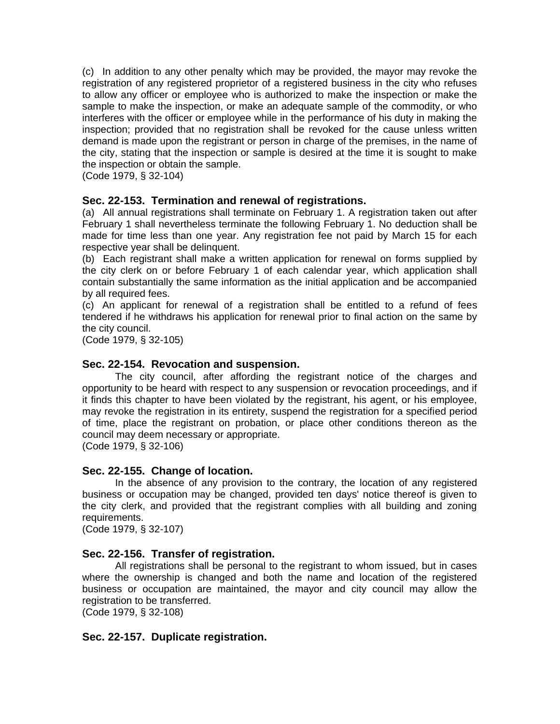(c) In addition to any other penalty which may be provided, the mayor may revoke the registration of any registered proprietor of a registered business in the city who refuses to allow any officer or employee who is authorized to make the inspection or make the sample to make the inspection, or make an adequate sample of the commodity, or who interferes with the officer or employee while in the performance of his duty in making the inspection; provided that no registration shall be revoked for the cause unless written demand is made upon the registrant or person in charge of the premises, in the name of the city, stating that the inspection or sample is desired at the time it is sought to make the inspection or obtain the sample.

(Code 1979, § 32-104)

## **Sec. 22-153. Termination and renewal of registrations.**

(a) All annual registrations shall terminate on February 1. A registration taken out after February 1 shall nevertheless terminate the following February 1. No deduction shall be made for time less than one year. Any registration fee not paid by March 15 for each respective year shall be delinquent.

(b) Each registrant shall make a written application for renewal on forms supplied by the city clerk on or before February 1 of each calendar year, which application shall contain substantially the same information as the initial application and be accompanied by all required fees.

(c) An applicant for renewal of a registration shall be entitled to a refund of fees tendered if he withdraws his application for renewal prior to final action on the same by the city council.

(Code 1979, § 32-105)

## **Sec. 22-154. Revocation and suspension.**

The city council, after affording the registrant notice of the charges and opportunity to be heard with respect to any suspension or revocation proceedings, and if it finds this chapter to have been violated by the registrant, his agent, or his employee, may revoke the registration in its entirety, suspend the registration for a specified period of time, place the registrant on probation, or place other conditions thereon as the council may deem necessary or appropriate.

(Code 1979, § 32-106)

## **Sec. 22-155. Change of location.**

In the absence of any provision to the contrary, the location of any registered business or occupation may be changed, provided ten days' notice thereof is given to the city clerk, and provided that the registrant complies with all building and zoning requirements.

(Code 1979, § 32-107)

## **Sec. 22-156. Transfer of registration.**

All registrations shall be personal to the registrant to whom issued, but in cases where the ownership is changed and both the name and location of the registered business or occupation are maintained, the mayor and city council may allow the registration to be transferred.

(Code 1979, § 32-108)

#### **Sec. 22-157. Duplicate registration.**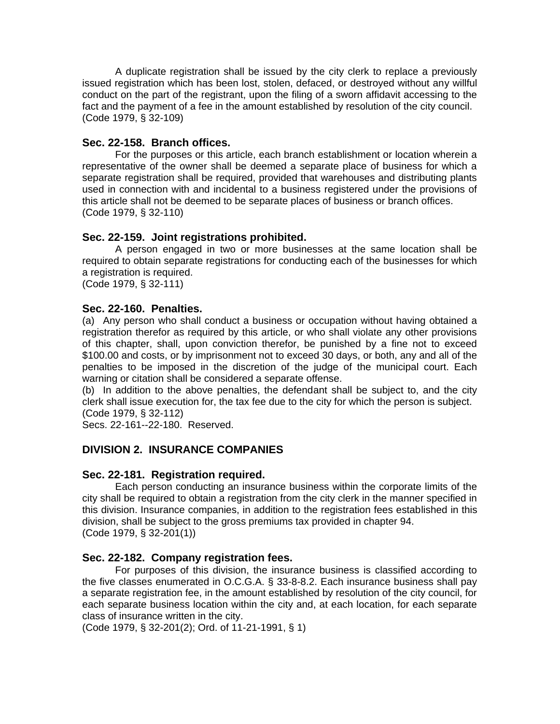A duplicate registration shall be issued by the city clerk to replace a previously issued registration which has been lost, stolen, defaced, or destroyed without any willful conduct on the part of the registrant, upon the filing of a sworn affidavit accessing to the fact and the payment of a fee in the amount established by resolution of the city council. (Code 1979, § 32-109)

## **Sec. 22-158. Branch offices.**

For the purposes or this article, each branch establishment or location wherein a representative of the owner shall be deemed a separate place of business for which a separate registration shall be required, provided that warehouses and distributing plants used in connection with and incidental to a business registered under the provisions of this article shall not be deemed to be separate places of business or branch offices. (Code 1979, § 32-110)

## **Sec. 22-159. Joint registrations prohibited.**

A person engaged in two or more businesses at the same location shall be required to obtain separate registrations for conducting each of the businesses for which a registration is required. (Code 1979, § 32-111)

# **Sec. 22-160. Penalties.**

(a) Any person who shall conduct a business or occupation without having obtained a registration therefor as required by this article, or who shall violate any other provisions of this chapter, shall, upon conviction therefor, be punished by a fine not to exceed \$100.00 and costs, or by imprisonment not to exceed 30 days, or both, any and all of the penalties to be imposed in the discretion of the judge of the municipal court. Each warning or citation shall be considered a separate offense.

(b) In addition to the above penalties, the defendant shall be subject to, and the city clerk shall issue execution for, the tax fee due to the city for which the person is subject. (Code 1979, § 32-112)

Secs. 22-161--22-180. Reserved.

## **DIVISION 2. INSURANCE COMPANIES**

## **Sec. 22-181. Registration required.**

Each person conducting an insurance business within the corporate limits of the city shall be required to obtain a registration from the city clerk in the manner specified in this division. Insurance companies, in addition to the registration fees established in this division, shall be subject to the gross premiums tax provided in chapter 94. (Code 1979, § 32-201(1))

## **Sec. 22-182. Company registration fees.**

For purposes of this division, the insurance business is classified according to the five classes enumerated in O.C.G.A. § 33-8-8.2. Each insurance business shall pay a separate registration fee, in the amount established by resolution of the city council, for each separate business location within the city and, at each location, for each separate class of insurance written in the city.

(Code 1979, § 32-201(2); Ord. of 11-21-1991, § 1)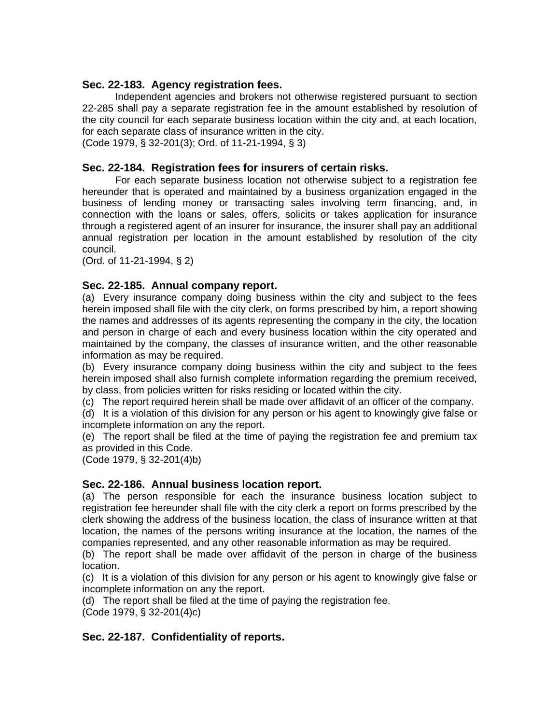## **Sec. 22-183. Agency registration fees.**

Independent agencies and brokers not otherwise registered pursuant to section 22-285 shall pay a separate registration fee in the amount established by resolution of the city council for each separate business location within the city and, at each location, for each separate class of insurance written in the city.

(Code 1979, § 32-201(3); Ord. of 11-21-1994, § 3)

## **Sec. 22-184. Registration fees for insurers of certain risks.**

For each separate business location not otherwise subject to a registration fee hereunder that is operated and maintained by a business organization engaged in the business of lending money or transacting sales involving term financing, and, in connection with the loans or sales, offers, solicits or takes application for insurance through a registered agent of an insurer for insurance, the insurer shall pay an additional annual registration per location in the amount established by resolution of the city council.

(Ord. of 11-21-1994, § 2)

## **Sec. 22-185. Annual company report.**

(a) Every insurance company doing business within the city and subject to the fees herein imposed shall file with the city clerk, on forms prescribed by him, a report showing the names and addresses of its agents representing the company in the city, the location and person in charge of each and every business location within the city operated and maintained by the company, the classes of insurance written, and the other reasonable information as may be required.

(b) Every insurance company doing business within the city and subject to the fees herein imposed shall also furnish complete information regarding the premium received, by class, from policies written for risks residing or located within the city.

(c) The report required herein shall be made over affidavit of an officer of the company.

(d) It is a violation of this division for any person or his agent to knowingly give false or incomplete information on any the report.

(e) The report shall be filed at the time of paying the registration fee and premium tax as provided in this Code.

(Code 1979, § 32-201(4)b)

## **Sec. 22-186. Annual business location report.**

(a) The person responsible for each the insurance business location subject to registration fee hereunder shall file with the city clerk a report on forms prescribed by the clerk showing the address of the business location, the class of insurance written at that location, the names of the persons writing insurance at the location, the names of the companies represented, and any other reasonable information as may be required.

(b) The report shall be made over affidavit of the person in charge of the business location.

(c) It is a violation of this division for any person or his agent to knowingly give false or incomplete information on any the report.

(d) The report shall be filed at the time of paying the registration fee. (Code 1979, § 32-201(4)c)

## **Sec. 22-187. Confidentiality of reports.**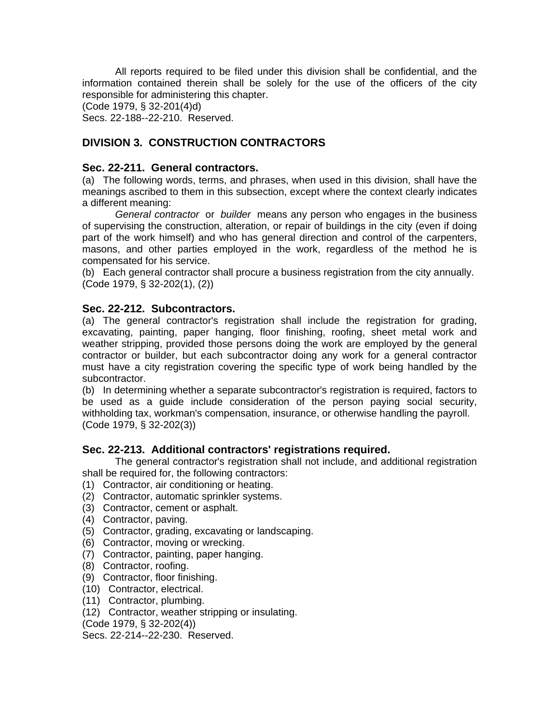All reports required to be filed under this division shall be confidential, and the information contained therein shall be solely for the use of the officers of the city responsible for administering this chapter.

(Code 1979, § 32-201(4)d)

Secs. 22-188--22-210. Reserved.

# **DIVISION 3. CONSTRUCTION CONTRACTORS**

## **Sec. 22-211. General contractors.**

(a) The following words, terms, and phrases, when used in this division, shall have the meanings ascribed to them in this subsection, except where the context clearly indicates a different meaning:

*General contractor* or *builder* means any person who engages in the business of supervising the construction, alteration, or repair of buildings in the city (even if doing part of the work himself) and who has general direction and control of the carpenters, masons, and other parties employed in the work, regardless of the method he is compensated for his service.

(b) Each general contractor shall procure a business registration from the city annually. (Code 1979, § 32-202(1), (2))

## **Sec. 22-212. Subcontractors.**

(a) The general contractor's registration shall include the registration for grading, excavating, painting, paper hanging, floor finishing, roofing, sheet metal work and weather stripping, provided those persons doing the work are employed by the general contractor or builder, but each subcontractor doing any work for a general contractor must have a city registration covering the specific type of work being handled by the subcontractor.

(b) In determining whether a separate subcontractor's registration is required, factors to be used as a guide include consideration of the person paying social security, withholding tax, workman's compensation, insurance, or otherwise handling the payroll. (Code 1979, § 32-202(3))

## **Sec. 22-213. Additional contractors' registrations required.**

The general contractor's registration shall not include, and additional registration shall be required for, the following contractors:

- (1) Contractor, air conditioning or heating.
- (2) Contractor, automatic sprinkler systems.
- (3) Contractor, cement or asphalt.
- (4) Contractor, paving.
- (5) Contractor, grading, excavating or landscaping.
- (6) Contractor, moving or wrecking.
- (7) Contractor, painting, paper hanging.
- (8) Contractor, roofing.
- (9) Contractor, floor finishing.
- (10) Contractor, electrical.
- (11) Contractor, plumbing.
- (12) Contractor, weather stripping or insulating.
- (Code 1979, § 32-202(4))

Secs. 22-214--22-230. Reserved.